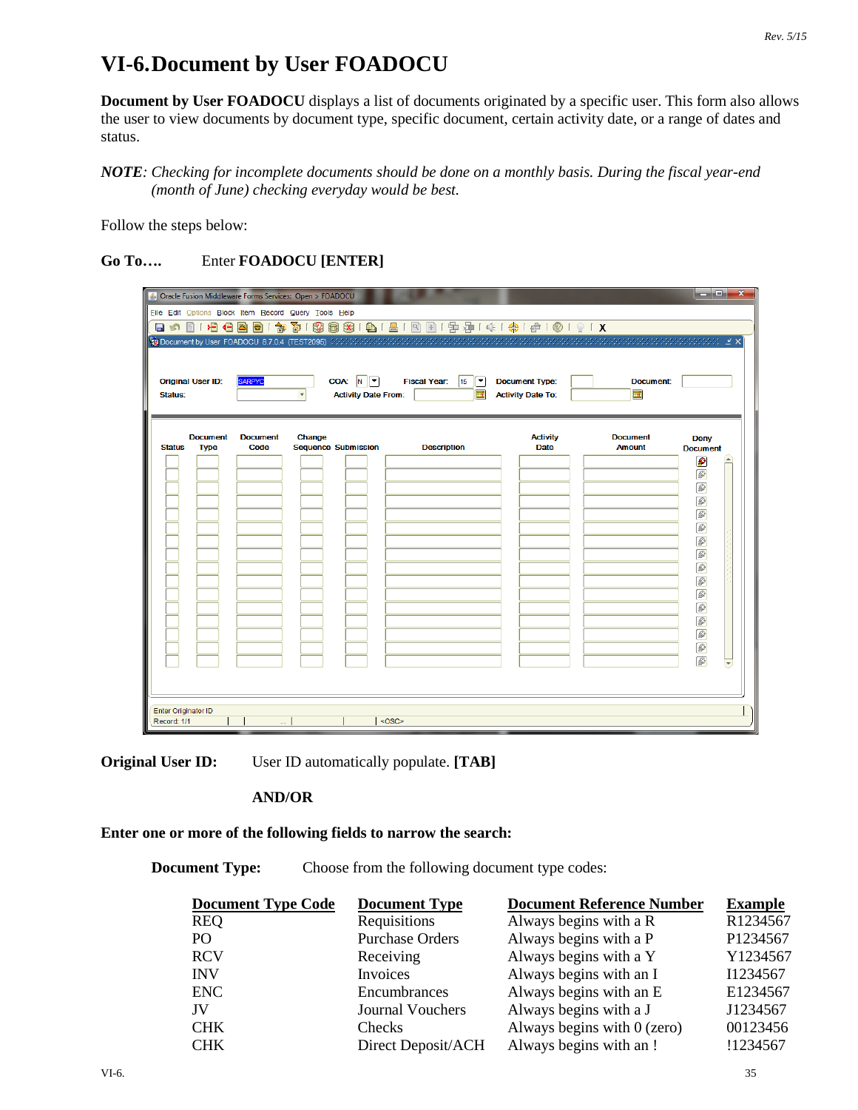## **VI-6.Document by User FOADOCU**

**Document by User FOADOCU** displays a list of documents originated by a specific user. This form also allows the user to view documents by document type, specific document, certain activity date, or a range of dates and status.

*NOTE: Checking for incomplete documents should be done on a monthly basis. During the fiscal year-end (month of June) checking everyday would be best.*

Follow the steps below:

## **Go To….** Enter **FOADOCU [ENTER]**

| <b>Original User ID:</b><br>Status:             | File Edit Options Block Item Record Query Tools Help<br><b>SARPYC</b> | 日の101号名目2019年1008101号1812121号251余1号10191X<br>COA: N<br><b>Fiscal Year:</b><br>$\boxed{\blacksquare}$<br>15<br>屇<br><b>Activity Date From:</b> | <b>Document Type:</b><br><b>Activity Date To:</b> | Document:<br>圃                   | أتكشف<br>$\mathbf{x}$                                                                                    |
|-------------------------------------------------|-----------------------------------------------------------------------|-----------------------------------------------------------------------------------------------------------------------------------------------|---------------------------------------------------|----------------------------------|----------------------------------------------------------------------------------------------------------|
| <b>Document</b><br><b>Status</b><br><b>Type</b> | Change<br><b>Document</b><br>Code<br><b>Sequence Submission</b>       | <b>Description</b>                                                                                                                            | <b>Activity</b><br><b>Date</b>                    | <b>Document</b><br><b>Amount</b> | <b>Deny</b><br><b>Document</b><br>Ø<br>Ð<br>ß<br>6<br>6<br>ø<br>6<br>6<br>00<br>$\sqrt{2}$<br>00000<br>ø |
| <b>Enter Originator ID</b><br>Record: 1/1       |                                                                       | <0SC>                                                                                                                                         |                                                   |                                  |                                                                                                          |

**Original User ID:** User ID automatically populate. **[TAB]** 

## **AND/OR**

## **Enter one or more of the following fields to narrow the search:**

**Document Type:** Choose from the following document type codes:

| <b>Document Type Code</b> | <b>Document Type</b>    | <b>Document Reference Number</b> | <b>Example</b> |
|---------------------------|-------------------------|----------------------------------|----------------|
| <b>REQ</b>                | Requisitions            | Always begins with a R           | R1234567       |
| P <sub>O</sub>            | <b>Purchase Orders</b>  | Always begins with a P           | P1234567       |
| <b>RCV</b>                | Receiving               | Always begins with a Y           | Y1234567       |
| <b>INV</b>                | Invoices                | Always begins with an I          | I1234567       |
| <b>ENC</b>                | Encumbrances            | Always begins with an E          | E1234567       |
| JV                        | <b>Journal Vouchers</b> | Always begins with a J           | J1234567       |
| <b>CHK</b>                | Checks                  | Always begins with $0$ (zero)    | 00123456       |
| <b>CHK</b>                | Direct Deposit/ACH      | Always begins with an!           | !1234567       |